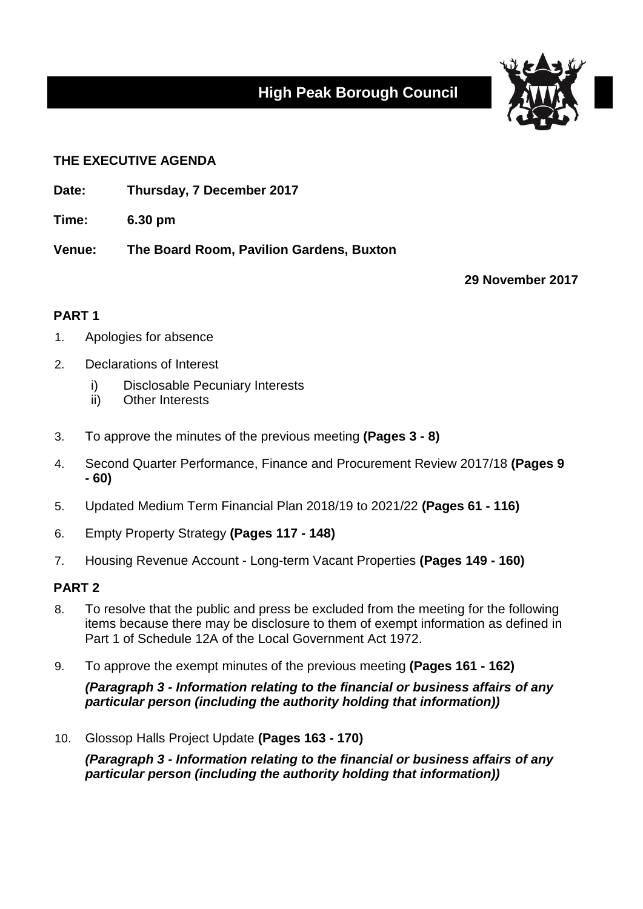# **High Peak Borough Council**



## **THE EXECUTIVE AGENDA**

- **Date: Thursday, 7 December 2017**
- **Time: 6.30 pm**

**Venue: The Board Room, Pavilion Gardens, Buxton**

**29 November 2017**

# **PART 1**

- 1. Apologies for absence
- 2. Declarations of Interest
	- i) Disclosable Pecuniary Interests
	- ii) Other Interests
- 3. To approve the minutes of the previous meeting **(Pages 3 - 8)**
- 4. Second Quarter Performance, Finance and Procurement Review 2017/18 **(Pages 9 - 60)**
- 5. Updated Medium Term Financial Plan 2018/19 to 2021/22 **(Pages 61 - 116)**
- 6. Empty Property Strategy **(Pages 117 - 148)**
- 7. Housing Revenue Account Long-term Vacant Properties **(Pages 149 - 160)**

### **PART 2**

- 8. To resolve that the public and press be excluded from the meeting for the following items because there may be disclosure to them of exempt information as defined in Part 1 of Schedule 12A of the Local Government Act 1972.
- 9. To approve the exempt minutes of the previous meeting **(Pages 161 - 162)**

*(Paragraph 3 - Information relating to the financial or business affairs of any particular person (including the authority holding that information))*

10. Glossop Halls Project Update **(Pages 163 - 170)**

*(Paragraph 3 - Information relating to the financial or business affairs of any particular person (including the authority holding that information))*